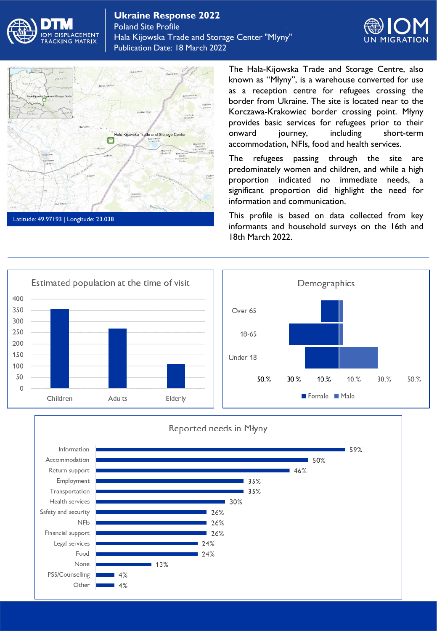





None

Other

PSS/Counselling

13%

 $4%$ 

 $4%$ 

The Hala-Kijowska Trade and Storage Centre, also known as "Młyny", is a warehouse converted for use as a reception centre for refugees crossing the border from Ukraine. The site is located near to the Korczawa-Krakowiec border crossing point. Młyny provides basic services for refugees prior to their onward journey, including short-term accommodation, NFIs, food and health services.

The refugees passing through the site are predominately women and children, and while a high proportion indicated no immediate needs, a significant proportion did highlight the need for information and communication.

This profile is based on data collected from key informants and household surveys on the 16th and 18th March 2022.